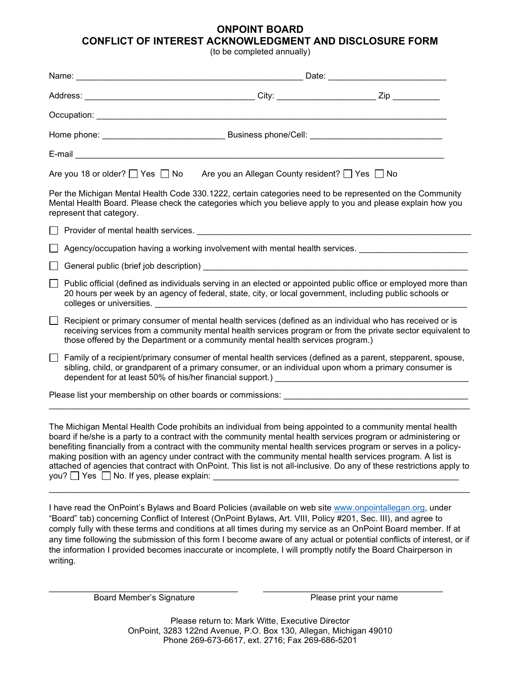## ONPOINT BOARD CONFLICT OF INTEREST ACKNOWLEDGMENT AND DISCLOSURE FORM

(to be completed annually)

|                                                                                                                                                                                                                                                                                                                                                                                                                                                                                                                                                                                                                                              | Are you 18 or older? $\Box$ Yes $\Box$ No Are you an Allegan County resident? $\Box$ Yes $\Box$ No                                                                                                                                                                                                         |
|----------------------------------------------------------------------------------------------------------------------------------------------------------------------------------------------------------------------------------------------------------------------------------------------------------------------------------------------------------------------------------------------------------------------------------------------------------------------------------------------------------------------------------------------------------------------------------------------------------------------------------------------|------------------------------------------------------------------------------------------------------------------------------------------------------------------------------------------------------------------------------------------------------------------------------------------------------------|
| Per the Michigan Mental Health Code 330.1222, certain categories need to be represented on the Community<br>Mental Health Board. Please check the categories which you believe apply to you and please explain how you<br>represent that category.                                                                                                                                                                                                                                                                                                                                                                                           |                                                                                                                                                                                                                                                                                                            |
|                                                                                                                                                                                                                                                                                                                                                                                                                                                                                                                                                                                                                                              |                                                                                                                                                                                                                                                                                                            |
|                                                                                                                                                                                                                                                                                                                                                                                                                                                                                                                                                                                                                                              | Agency/occupation having a working involvement with mental health services. _______________________                                                                                                                                                                                                        |
|                                                                                                                                                                                                                                                                                                                                                                                                                                                                                                                                                                                                                                              |                                                                                                                                                                                                                                                                                                            |
|                                                                                                                                                                                                                                                                                                                                                                                                                                                                                                                                                                                                                                              | Public official (defined as individuals serving in an elected or appointed public office or employed more than<br>20 hours per week by an agency of federal, state, city, or local government, including public schools or                                                                                 |
|                                                                                                                                                                                                                                                                                                                                                                                                                                                                                                                                                                                                                                              | Recipient or primary consumer of mental health services (defined as an individual who has received or is<br>receiving services from a community mental health services program or from the private sector equivalent to<br>those offered by the Department or a community mental health services program.) |
|                                                                                                                                                                                                                                                                                                                                                                                                                                                                                                                                                                                                                                              | Family of a recipient/primary consumer of mental health services (defined as a parent, stepparent, spouse,<br>sibling, child, or grandparent of a primary consumer, or an individual upon whom a primary consumer is                                                                                       |
|                                                                                                                                                                                                                                                                                                                                                                                                                                                                                                                                                                                                                                              |                                                                                                                                                                                                                                                                                                            |
| The Michigan Mental Health Code prohibits an individual from being appointed to a community mental health<br>board if he/she is a party to a contract with the community mental health services program or administering or<br>benefiting financially from a contract with the community mental health services program or serves in a policy-<br>making position with an agency under contract with the community mental health services program. A list is<br>attached of agencies that contract with OnPoint. This list is not all-inclusive. Do any of these restrictions apply to<br>you? $\Box$ Yes $\Box$ No. If yes, please explain: |                                                                                                                                                                                                                                                                                                            |

I have read the OnPoint's Bylaws and Board Policies (available on web site www.onpointallegan.org, under "Board" tab) concerning Conflict of Interest (OnPoint Bylaws, Art. VIII, Policy #201, Sec. III), and agree to comply fully with these terms and conditions at all times during my service as an OnPoint Board member. If at any time following the submission of this form I become aware of any actual or potential conflicts of interest, or if the information I provided becomes inaccurate or incomplete, I will promptly notify the Board Chairperson in writing.

Board Member's Signature **Please print your name** 

Please return to: Mark Witte, Executive Director OnPoint, 3283 122nd Avenue, P.O. Box 130, Allegan, Michigan 49010 Phone 269-673-6617, ext. 2716; Fax 269-686-5201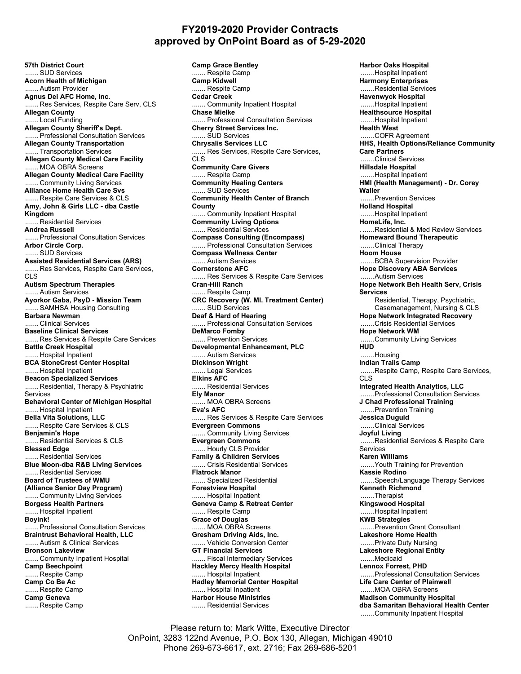## FY2019-2020 Provider Contracts approved by OnPoint Board as of 5-29-2020

57th District Court ....... SUD Services Acorn Health of Michigan .... Autism Provider Agnus Dei AFC Home, Inc. ....... Res Services, Respite Care Serv, CLS Allegan County .... Local Funding Allegan County Sheriff's Dept. ....... Professional Consultation Services Allegan County Transportation ....... Transportation Services Allegan County Medical Care Facility ...MOA OBRA Screens Allegan County Medical Care Facility .......Community Living Services Alliance Home Health Care Svs ....... Respite Care Services & CLS Amy, John & Girls LLC - dba Castle Kingdom ....... Residential Services Andrea Russell ....... Professional Consultation Services Arbor Circle Corp. ....... SUD Services Assisted Residential Services (ARS) ..... Res Services, Respite Care Services, CLS Autism Spectrum Therapies ....... Autism Services Ayorkor Gaba, PsyD - Mission Team ....... SAMHSA Housing Consulting Barbara Newman ....... Clinical Services Baseline Clinical Services ....... Res Services & Respite Care Services Battle Creek Hospital ....... Hospital Inpatient BCA StoneCrest Center Hospital ....... Hospital Inpatient Beacon Specialized Services ....... Residential, Therapy & Psychiatric Services Behavioral Center of Michigan Hospital ... Hospital Inpatient Bella Vita Solutions, LLC ....... Respite Care Services & CLS Benjamin's Hope ....... Residential Services & CLS Blessed Edge ....... Residential Services Blue Moon-dba R&B Living Services ....... Residential Services Board of Trustees of WMU (Alliance Senior Day Program) ....... Community Living Services Borgess Health Partners ..... Hospital Inpatient Boyink! .... Professional Consultation Services Braintrust Behavioral Health, LLC ....... Autism & Clinical Services Bronson Lakeview ....... Community Inpatient Hospital Camp Beechpoint ....Respite Camp Camp Co Be Ac ...... Respite Camp Camp Geneva ....... Respite Camp

Camp Grace Bentley ....... Respite Camp Camp Kidwell ..... Respite Camp Cedar Creek ....... Community Inpatient Hospital Chase Mielke .... Professional Consultation Services Cherry Street Services Inc. ....... SUD Services Chrysalis Services LLC ....... Res Services, Respite Care Services, CLS<sup>1</sup> Community Care Givers ....... Respite Camp Community Healing Centers ....... SUD Services Community Health Center of Branch **County**  ....... Community Inpatient Hospital Community Living Options ....... Residential Services Compass Consulting (Encompass) ....... Professional Consultation Services Compass Wellness Center ....... Autism Services Cornerstone AFC ....... Res Services & Respite Care Services Cran-Hill Ranch ....... Respite Camp CRC Recovery (W. MI. Treatment Center) ....... SUD Services Deaf & Hard of Hearing ....... Professional Consultation Services DeMarco Fomby ....... Prevention Services Developmental Enhancement, PLC ..... Autism Services Dickinson Wright ....... Legal Services Elkins AFC ... Residential Services Ely Manor ....... MOA OBRA Screens Eva's AFC ....... Res Services & Respite Care Services Evergreen Commons ...... Community Living Services Evergreen Commons ....... Hourly CLS Provider Family & Children Services ..... Crisis Residential Services Flatrock Manor ...... Specialized Residential Forestview Hospital ....... Hospital Inpatient Geneva Camp & Retreat Center ....... Respite Camp Grace of Douglas ..... MOA OBRA Screens Gresham Driving Aids, Inc. ....... Vehicle Conversion Center GT Financial Services ....... Fiscal Intermediary Services Hackley Mercy Health Hospital .... Hospital Inpatient Hadley Memorial Center Hospital ..... Hospital Inpatient Harbor House Ministries ....... Residential Services

Harbor Oaks Hospital ....... Hospital Inpatient Harmony Enterprises ....... Residential Services Havenwyck Hospital ....... Hospital Inpatient Healthsource Hospital ....... Hospital Inpatient Health West ....... COFR Agreement HHS, Health Options/Reliance Community Care Partners ...Clinical Services Hillsdale Hospital ....... Hospital Inpatient HMI (Health Management) - Dr. Corey **Waller**  ....... Prevention Services Holland Hospital ....... Hospital Inpatient HomeLife, Inc. . ...... Residential & Med Review Services Homeward Bound Therapeutic ....... Clinical Therapy Hoom House ....... BCBA Supervision Provider Hope Discovery ABA Services ....... Autism Services Hope Network Beh Health Serv, Crisis Services Residential, Therapy, Psychiatric, Casemanagement, Nursing & CLS Hope Network Integrated Recovery .......Crisis Residential Services Hope Network WM .....Community Living Services **HUD**  ....... Housing Indian Trails Camp ....... Respite Camp, Respite Care Services, CLS Integrated Health Analytics, LLC ....... Professional Consultation Services J Chad Professional Training ....... Prevention Training Jessica Duguid .......Clinical Services Joyful Living ....... Residential Services & Respite Care Services Karen Williams ....... Youth Training for Prevention Kassie Rodino ....... Speech/Language Therapy Services Kenneth Richmond ....... Therapist Kingswood Hospital ....Hospital Inpatient KWB Strategies ....Prevention Grant Consultant Lakeshore Home Health ....... Private Duty Nursing Lakeshore Regional Entity ....... Medicaid Lennox Forrest, PHD ....... Professional Consultation Services Life Care Center of Plainwell ....... MOA OBRA Screens Madison Community Hospital dba Samaritan Behavioral Health Center ....... Community Inpatient Hospital

Please return to: Mark Witte, Executive Director OnPoint, 3283 122nd Avenue, P.O. Box 130, Allegan, Michigan 49010 Phone 269-673-6617, ext. 2716; Fax 269-686-5201